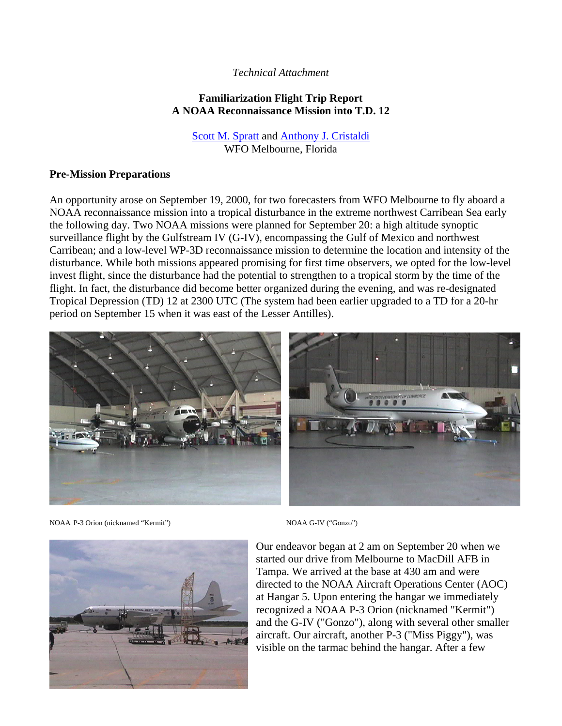### *Technical Attachment*

## **Familiarization Flight Trip Report A NOAA Reconnaissance Mission into T.D. 12**

Scott M. Spratt and Anthony J. Cristaldi WFO Melbourne, Florida

#### **Pre-Mission Preparations**

An opportunity arose on September 19, 2000, for two forecasters from WFO Melbourne to fly aboard a NOAA reconnaissance mission into a tropical disturbance in the extreme northwest Carribean Sea early the following day. Two NOAA missions were planned for September 20: a high altitude synoptic surveillance flight by the Gulfstream IV (G-IV), encompassing the Gulf of Mexico and northwest Carribean; and a low-level WP-3D reconnaissance mission to determine the location and intensity of the disturbance. While both missions appeared promising for first time observers, we opted for the low-level invest flight, since the disturbance had the potential to strengthen to a tropical storm by the time of the flight. In fact, the disturbance did become better organized during the evening, and was re-designated Tropical Depression (TD) 12 at 2300 UTC (The system had been earlier upgraded to a TD for a 20-hr period on September 15 when it was east of the Lesser Antilles).



NOAA P-3 Orion (nicknamed "Kermit") NOAA G-IV ("Gonzo")



Our endeavor began at 2 am on September 20 when we started our drive from Melbourne to MacDill AFB in Tampa. We arrived at the base at 430 am and were directed to the NOAA Aircraft Operations Center (AOC) at Hangar 5. Upon entering the hangar we immediately recognized a NOAA P-3 Orion (nicknamed "Kermit") and the G-IV ("Gonzo"), along with several other smaller aircraft. Our aircraft, another P-3 ("Miss Piggy"), was visible on the tarmac behind the hangar. After a few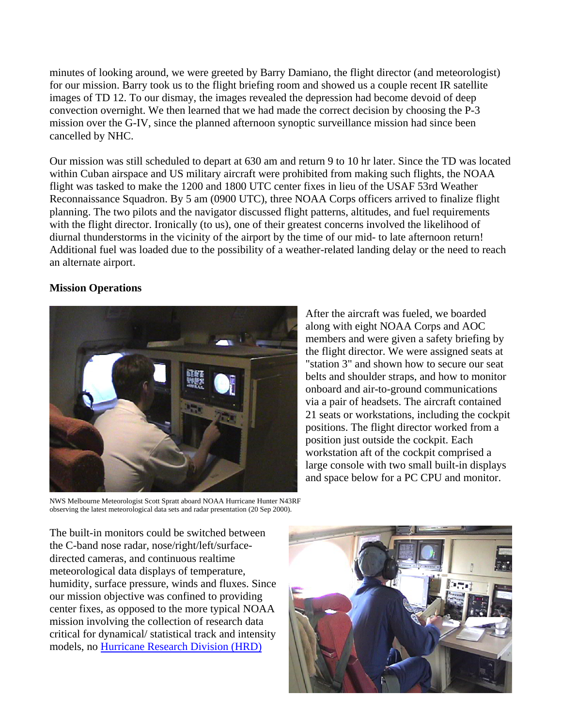minutes of looking around, we were greeted by Barry Damiano, the flight director (and meteorologist) for our mission. Barry took us to the flight briefing room and showed us a couple recent IR satellite images of TD 12. To our dismay, the images revealed the depression had become devoid of deep convection overnight. We then learned that we had made the correct decision by choosing the P-3 mission over the G-IV, since the planned afternoon synoptic surveillance mission had since been cancelled by NHC.

Our mission was still scheduled to depart at 630 am and return 9 to 10 hr later. Since the TD was located within Cuban airspace and US military aircraft were prohibited from making such flights, the NOAA flight was tasked to make the 1200 and 1800 UTC center fixes in lieu of the USAF 53rd Weather Reconnaissance Squadron. By 5 am (0900 UTC), three NOAA Corps officers arrived to finalize flight planning. The two pilots and the navigator discussed flight patterns, altitudes, and fuel requirements with the flight director. Ironically (to us), one of their greatest concerns involved the likelihood of diurnal thunderstorms in the vicinity of the airport by the time of our mid- to late afternoon return! Additional fuel was loaded due to the possibility of a weather-related landing delay or the need to reach an alternate airport.

# **Mission Operations**



After the aircraft was fueled, we boarded along with eight NOAA Corps and AOC members and were given a safety briefing by the flight director. We were assigned seats at "station 3" and shown how to secure our seat belts and shoulder straps, and how to monitor onboard and air-to-ground communications via a pair of headsets. The aircraft contained 21 seats or workstations, including the cockpit positions. The flight director worked from a position just outside the cockpit. Each workstation aft of the cockpit comprised a large console with two small built-in displays and space below for a PC CPU and monitor.

NWS Melbourne Meteorologist Scott Spratt aboard NOAA Hurricane Hunter N43RF observing the latest meteorological data sets and radar presentation (20 Sep 2000).

The built-in monitors could be switched between the C-band nose radar, nose/right/left/surfacedirected cameras, and continuous realtime meteorological data displays of temperature, humidity, surface pressure, winds and fluxes. Since our mission objective was confined to providing center fixes, as opposed to the more typical NOAA mission involving the collection of research data critical for dynamical/ statistical track and intensity models, no Hurricane Research Division (HRD)

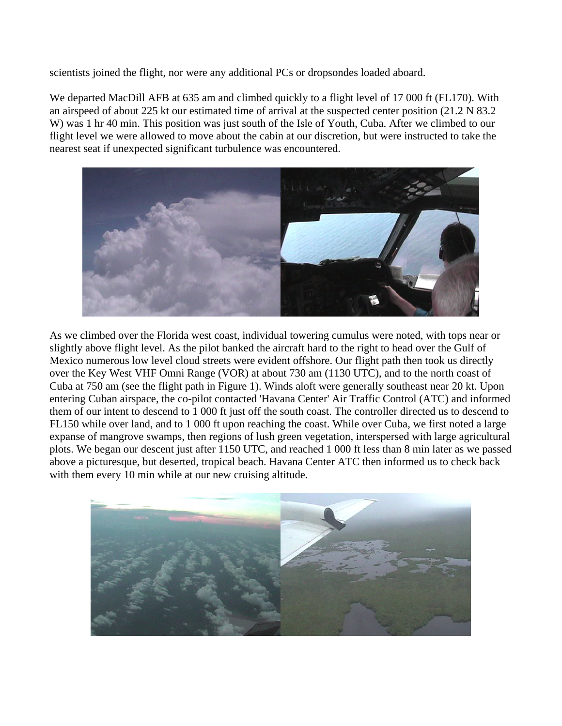scientists joined the flight, nor were any additional PCs or dropsondes loaded aboard.

We departed MacDill AFB at 635 am and climbed quickly to a flight level of 17 000 ft (FL170). With an airspeed of about 225 kt our estimated time of arrival at the suspected center position (21.2 N 83.2 W) was 1 hr 40 min. This position was just south of the Isle of Youth, Cuba. After we climbed to our flight level we were allowed to move about the cabin at our discretion, but were instructed to take the nearest seat if unexpected significant turbulence was encountered.



As we climbed over the Florida west coast, individual towering cumulus were noted, with tops near or slightly above flight level. As the pilot banked the aircraft hard to the right to head over the Gulf of Mexico numerous low level cloud streets were evident offshore. Our flight path then took us directly over the Key West VHF Omni Range (VOR) at about 730 am (1130 UTC), and to the north coast of Cuba at 750 am (see the flight path in Figure 1). Winds aloft were generally southeast near 20 kt. Upon entering Cuban airspace, the co-pilot contacted 'Havana Center' Air Traffic Control (ATC) and informed them of our intent to descend to 1 000 ft just off the south coast. The controller directed us to descend to FL150 while over land, and to 1 000 ft upon reaching the coast. While over Cuba, we first noted a large expanse of mangrove swamps, then regions of lush green vegetation, interspersed with large agricultural plots. We began our descent just after 1150 UTC, and reached 1 000 ft less than 8 min later as we passed above a picturesque, but deserted, tropical beach. Havana Center ATC then informed us to check back with them every 10 min while at our new cruising altitude.

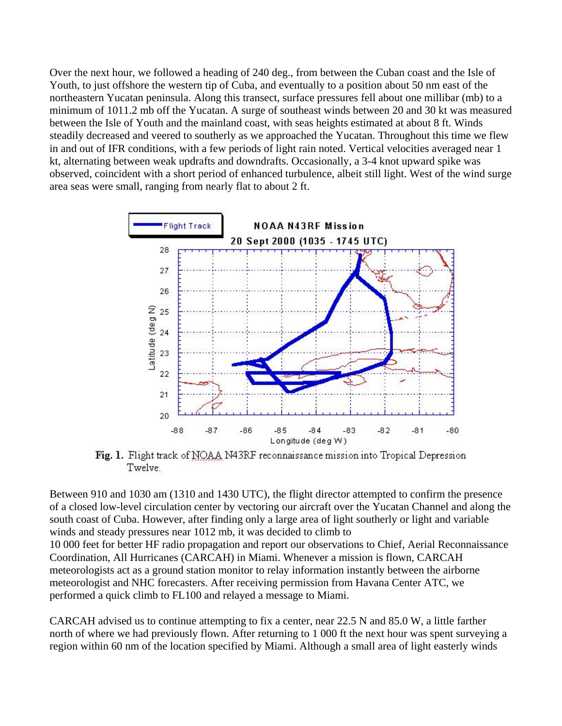Over the next hour, we followed a heading of 240 deg., from between the Cuban coast and the Isle of Youth, to just offshore the western tip of Cuba, and eventually to a position about 50 nm east of the northeastern Yucatan peninsula. Along this transect, surface pressures fell about one millibar (mb) to a minimum of 1011.2 mb off the Yucatan. A surge of southeast winds between 20 and 30 kt was measured between the Isle of Youth and the mainland coast, with seas heights estimated at about 8 ft. Winds steadily decreased and veered to southerly as we approached the Yucatan. Throughout this time we flew in and out of IFR conditions, with a few periods of light rain noted. Vertical velocities averaged near 1 kt, alternating between weak updrafts and downdrafts. Occasionally, a 3-4 knot upward spike was observed, coincident with a short period of enhanced turbulence, albeit still light. West of the wind surge area seas were small, ranging from nearly flat to about 2 ft.



Fig. 1. Flight track of NOAA N43RF reconnaissance mission into Tropical Depression Twelve.

Between 910 and 1030 am (1310 and 1430 UTC), the flight director attempted to confirm the presence of a closed low-level circulation center by vectoring our aircraft over the Yucatan Channel and along the south coast of Cuba. However, after finding only a large area of light southerly or light and variable winds and steady pressures near 1012 mb, it was decided to climb to

10 000 feet for better HF radio propagation and report our observations to Chief, Aerial Reconnaissance Coordination, All Hurricanes (CARCAH) in Miami. Whenever a mission is flown, CARCAH meteorologists act as a ground station monitor to relay information instantly between the airborne meteorologist and NHC forecasters. After receiving permission from Havana Center ATC, we performed a quick climb to FL100 and relayed a message to Miami.

CARCAH advised us to continue attempting to fix a center, near 22.5 N and 85.0 W, a little farther north of where we had previously flown. After returning to 1 000 ft the next hour was spent surveying a region within 60 nm of the location specified by Miami. Although a small area of light easterly winds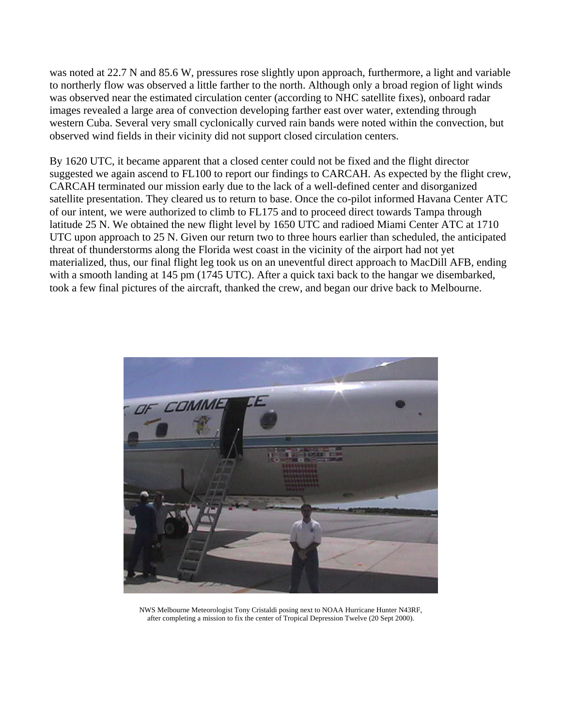was noted at 22.7 N and 85.6 W, pressures rose slightly upon approach, furthermore, a light and variable to northerly flow was observed a little farther to the north. Although only a broad region of light winds was observed near the estimated circulation center (according to NHC satellite fixes), onboard radar images revealed a large area of convection developing farther east over water, extending through western Cuba. Several very small cyclonically curved rain bands were noted within the convection, but observed wind fields in their vicinity did not support closed circulation centers.

By 1620 UTC, it became apparent that a closed center could not be fixed and the flight director suggested we again ascend to FL100 to report our findings to CARCAH. As expected by the flight crew, CARCAH terminated our mission early due to the lack of a well-defined center and disorganized satellite presentation. They cleared us to return to base. Once the co-pilot informed Havana Center ATC of our intent, we were authorized to climb to FL175 and to proceed direct towards Tampa through latitude 25 N. We obtained the new flight level by 1650 UTC and radioed Miami Center ATC at 1710 UTC upon approach to 25 N. Given our return two to three hours earlier than scheduled, the anticipated threat of thunderstorms along the Florida west coast in the vicinity of the airport had not yet materialized, thus, our final flight leg took us on an uneventful direct approach to MacDill AFB, ending with a smooth landing at 145 pm (1745 UTC). After a quick taxi back to the hangar we disembarked, took a few final pictures of the aircraft, thanked the crew, and began our drive back to Melbourne.



NWS Melbourne Meteorologist Tony Cristaldi posing next to NOAA Hurricane Hunter N43RF, after completing a mission to fix the center of Tropical Depression Twelve (20 Sept 2000).